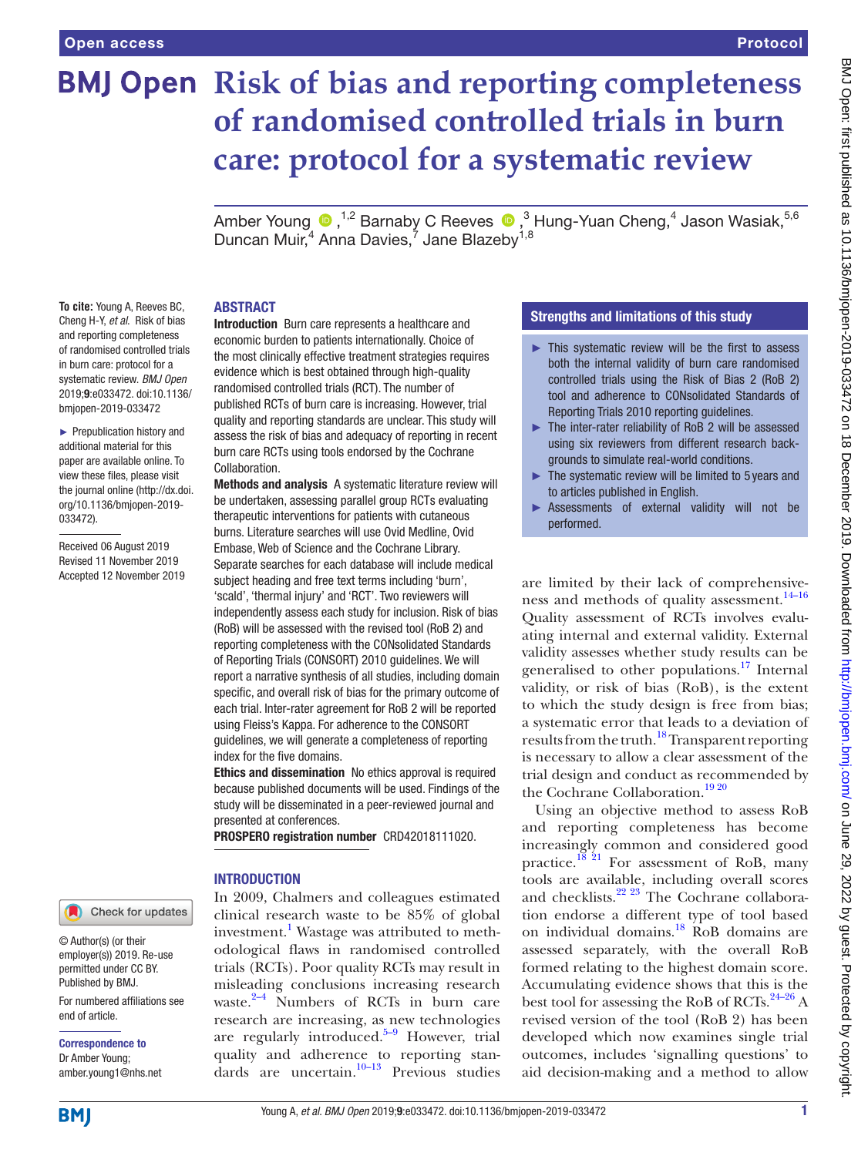# **BMJ Open Risk of bias and reporting completeness of randomised controlled trials in burn care: protocol for a systematic review**

AmberYoung <sup>®</sup>,<sup>1,2</sup> Barnaby C Reeves <sup>®</sup>,<sup>3</sup> Hung-Yuan Cheng,<sup>4</sup> Jason Wasiak,<sup>5,6</sup> Duncan Muir,<sup>4</sup> Anna Davies,<sup>7</sup> Jane Blazeby<sup>1,8</sup>

# **ABSTRACT**

**To cite:** Young A, Reeves BC, Cheng H-Y, *et al*. Risk of bias and reporting completeness of randomised controlled trials in burn care: protocol for a systematic review. *BMJ Open* 2019;9:e033472. doi:10.1136/ bmjopen-2019-033472

► Prepublication history and additional material for this paper are available online. To view these files, please visit the journal online (http://dx.doi. org/10.1136/bmjopen-2019- 033472).

Received 06 August 2019 Revised 11 November 2019 Accepted 12 November 2019

# Check for updates

© Author(s) (or their employer(s)) 2019. Re-use permitted under CC BY. Published by BMJ.

For numbered affiliations see end of article.

Correspondence to Dr Amber Young; amber.young1@nhs.net Introduction Burn care represents a healthcare and economic burden to patients internationally. Choice of the most clinically effective treatment strategies requires evidence which is best obtained through high-quality randomised controlled trials (RCT). The number of published RCTs of burn care is increasing. However, trial quality and reporting standards are unclear. This study will assess the risk of bias and adequacy of reporting in recent burn care RCTs using tools endorsed by the Cochrane Collaboration.

Methods and analysis A systematic literature review will be undertaken, assessing parallel group RCTs evaluating therapeutic interventions for patients with cutaneous burns. Literature searches will use Ovid Medline, Ovid Embase, Web of Science and the Cochrane Library. Separate searches for each database will include medical subject heading and free text terms including 'burn', 'scald', 'thermal injury' and 'RCT'. Two reviewers will independently assess each study for inclusion. Risk of bias (RoB) will be assessed with the revised tool (RoB 2) and reporting completeness with the CONsolidated Standards of Reporting Trials (CONSORT) 2010 guidelines. We will report a narrative synthesis of all studies, including domain specific, and overall risk of bias for the primary outcome of each trial. Inter-rater agreement for RoB 2 will be reported using Fleiss's Kappa. For adherence to the CONSORT guidelines, we will generate a completeness of reporting index for the five domains.

Ethics and dissemination No ethics approval is required because published documents will be used. Findings of the study will be disseminated in a peer-reviewed journal and presented at conferences.

PROSPERO registration number CRD42018111020.

# **INTRODUCTION**

In 2009, Chalmers and colleagues estimated clinical research waste to be 85% of global investment.<sup>1</sup> Wastage was attributed to methodological flaws in randomised controlled trials (RCTs). Poor quality RCTs may result in misleading conclusions increasing research waste. $2-4$  Numbers of RCTs in burn care research are increasing, as new technologies are regularly introduced. $5-9$  However, trial quality and adherence to reporting standards are uncertain.<sup>10–13</sup> Previous studies

# Strengths and limitations of this study

- $\blacktriangleright$  This systematic review will be the first to assess both the internal validity of burn care randomised controlled trials using the Risk of Bias 2 (RoB 2) tool and adherence to CONsolidated Standards of Reporting Trials 2010 reporting guidelines.
- ► The inter-rater reliability of RoB 2 will be assessed using six reviewers from different research backgrounds to simulate real-world conditions.
- ► The systematic review will be limited to 5 years and to articles published in English.
- ► Assessments of external validity will not be performed.

are limited by their lack of comprehensiveness and methods of quality assessment.[14–16](#page-3-4) Quality assessment of RCTs involves evaluating internal and external validity. External validity assesses whether study results can be generalised to other populations.<sup>[17](#page-3-5)</sup> Internal validity, or risk of bias (RoB), is the extent to which the study design is free from bias; a systematic error that leads to a deviation of results from the truth.[18](#page-3-6) Transparent reporting is necessary to allow a clear assessment of the trial design and conduct as recommended by the Cochrane Collaboration.<sup>[19 20](#page-3-7)</sup>

Using an objective method to assess RoB and reporting completeness has become increasingly common and considered good practice.<sup>[18 21](#page-3-6)</sup> For assessment of RoB, many tools are available, including overall scores and checklists. $22\frac{23}{1}$  The Cochrane collaboration endorse a different type of tool based on individual domains[.18](#page-3-6) RoB domains are assessed separately, with the overall RoB formed relating to the highest domain score. Accumulating evidence shows that this is the best tool for assessing the RoB of RCTs.<sup>24–26</sup> A revised version of the tool (RoB 2) has been developed which now examines single trial outcomes, includes 'signalling questions' to aid decision-making and a method to allow

**BMI**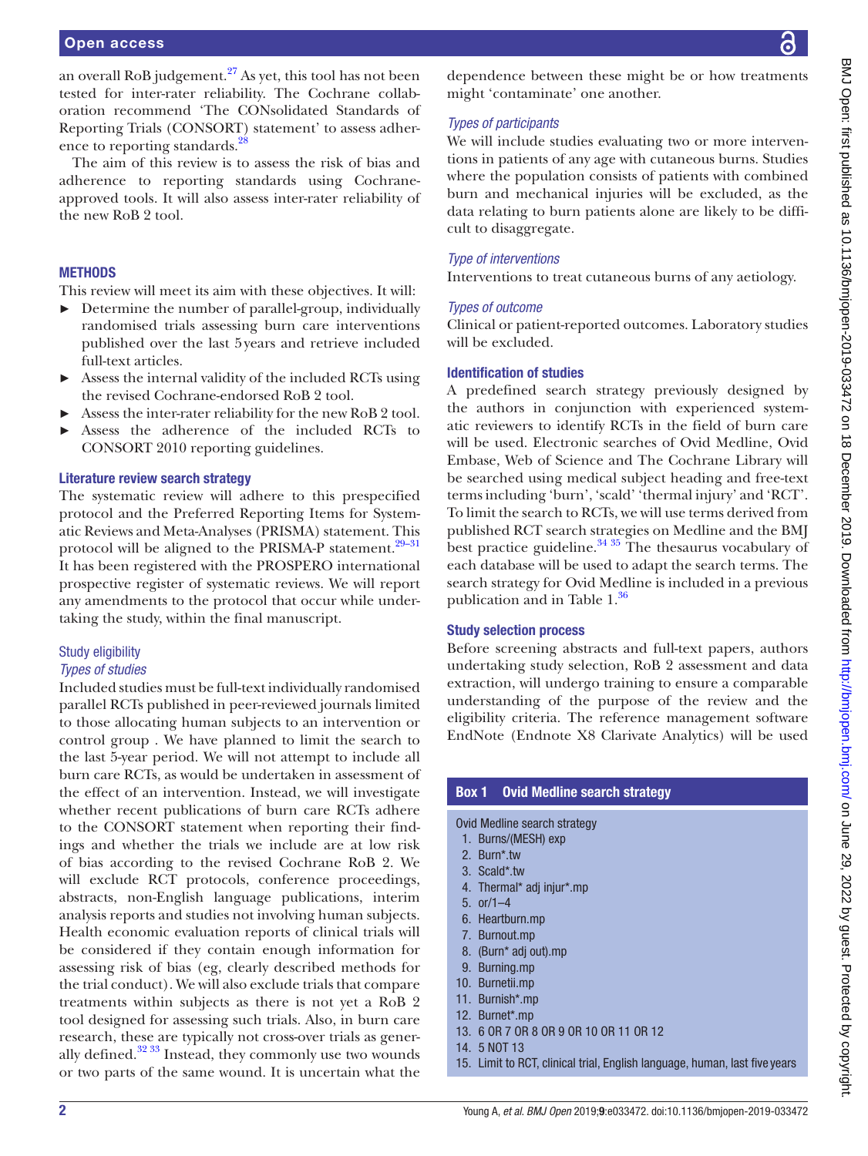an overall RoB judgement. $27$  As yet, this tool has not been tested for inter-rater reliability. The Cochrane collaboration recommend 'The CONsolidated Standards of Reporting Trials (CONSORT) statement' to assess adherence to reporting standards.<sup>28</sup>

The aim of this review is to assess the risk of bias and adherence to reporting standards using Cochraneapproved tools. It will also assess inter-rater reliability of the new RoB 2 tool.

# **METHODS**

This review will meet its aim with these objectives. It will:

- ► Determine the number of parallel-group, individually randomised trials assessing burn care interventions published over the last 5years and retrieve included full-text articles.
- ► Assess the internal validity of the included RCTs using the revised Cochrane-endorsed RoB 2 tool.
- Assess the inter-rater reliability for the new RoB 2 tool.
- Assess the adherence of the included RCTs to CONSORT 2010 reporting guidelines.

## Literature review search strategy

The systematic review will adhere to this prespecified protocol and the Preferred Reporting Items for Systematic Reviews and Meta-Analyses (PRISMA) statement. This protocol will be aligned to the PRISMA-P statement.<sup>29-31</sup> It has been registered with the PROSPERO international prospective register of systematic reviews. We will report any amendments to the protocol that occur while undertaking the study, within the final manuscript.

# Study eligibility

#### *Types of studies*

Included studies must be full-text individually randomised parallel RCTs published in peer-reviewed journals limited to those allocating human subjects to an intervention or control group . We have planned to limit the search to the last 5-year period. We will not attempt to include all burn care RCTs, as would be undertaken in assessment of the effect of an intervention. Instead, we will investigate whether recent publications of burn care RCTs adhere to the CONSORT statement when reporting their findings and whether the trials we include are at low risk of bias according to the revised Cochrane RoB 2. We will exclude RCT protocols, conference proceedings, abstracts, non-English language publications, interim analysis reports and studies not involving human subjects. Health economic evaluation reports of clinical trials will be considered if they contain enough information for assessing risk of bias (eg, clearly described methods for the trial conduct). We will also exclude trials that compare treatments within subjects as there is not yet a RoB 2 tool designed for assessing such trials. Also, in burn care research, these are typically not cross-over trials as generally defined. $32\frac{33}{10}$  Instead, they commonly use two wounds or two parts of the same wound. It is uncertain what the

dependence between these might be or how treatments might 'contaminate' one another.

# *Types of participants*

We will include studies evaluating two or more interventions in patients of any age with cutaneous burns. Studies where the population consists of patients with combined burn and mechanical injuries will be excluded, as the data relating to burn patients alone are likely to be difficult to disaggregate.

## *Type of interventions*

Interventions to treat cutaneous burns of any aetiology.

#### *Types of outcome*

Clinical or patient-reported outcomes. Laboratory studies will be excluded.

# Identification of studies

A predefined search strategy previously designed by the authors in conjunction with experienced systematic reviewers to identify RCTs in the field of burn care will be used. Electronic searches of Ovid Medline, Ovid Embase, Web of Science and The Cochrane Library will be searched using medical subject heading and free-text terms including 'burn', 'scald' 'thermal injury' and 'RCT'. To limit the search to RCTs, we will use terms derived from published RCT search strategies on Medline and the BMJ best practice guideline. $3435$  The thesaurus vocabulary of each database will be used to adapt the search terms. The search strategy for Ovid Medline is included in a previous publication and in Table 1.<sup>36</sup>

#### Study selection process

Before screening abstracts and full-text papers, authors undertaking study selection, RoB 2 assessment and data extraction, will undergo training to ensure a comparable understanding of the purpose of the review and the eligibility criteria. The reference management software EndNote (Endnote X8 Clarivate Analytics) will be used

| <b>Box 1 Ovid Medline search strategy</b>                                                                                            |
|--------------------------------------------------------------------------------------------------------------------------------------|
| Ovid Medline search strategy<br>1. Burns/(MESH) exp<br>2. Burn*.tw<br>3. Scald*.tw<br>4. Thermal* adj injur*.mp<br>5. $or/1-4$       |
| 6. Heartburn.mp<br>7. Burnout.mp<br>8. (Burn* adj out).mp<br>9. Burning.mp                                                           |
| 10. Burnetii.mp<br>11. Burnish*.mp<br>12. Burnet*.mp                                                                                 |
| 13. 6 OR 7 OR 8 OR 9 OR 10 OR 11 OR 12<br>14. 5 NOT 13<br>15. Limit to RCT, clinical trial, English language, human, last five years |
|                                                                                                                                      |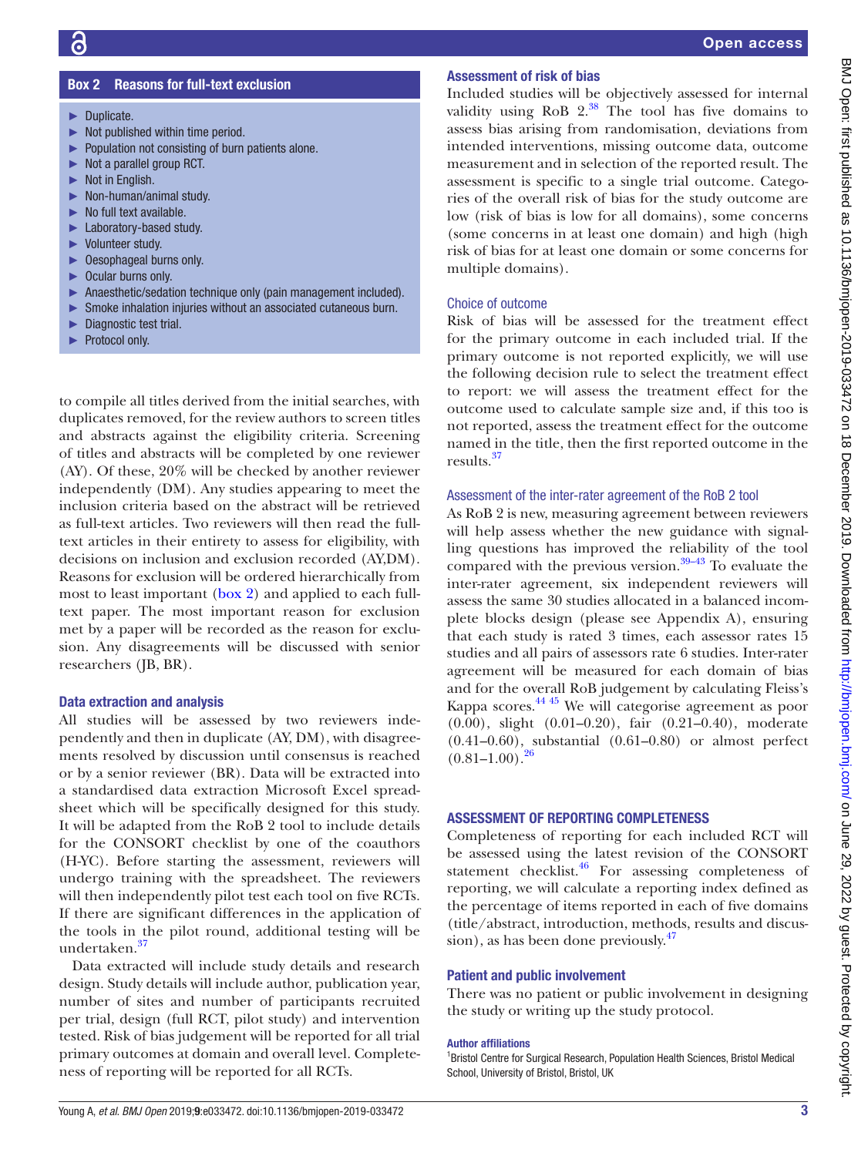# Box 2 Reasons for full-text exclusion

- <span id="page-2-0"></span>► Duplicate.
- $\blacktriangleright$  Not published within time period.
- ► Population not consisting of burn patients alone.
- ► Not a parallel group RCT.
- ► Not in English.
- ► Non-human/animal study.
- $\blacktriangleright$  No full text available.
- ► Laboratory-based study.
- ► Volunteer study.
- ► Oesophageal burns only.
- ► Ocular burns only.
- ► Anaesthetic/sedation technique only (pain management included).
- ► Smoke inhalation injuries without an associated cutaneous burn.
- ► Diagnostic test trial.
- ► Protocol only.

to compile all titles derived from the initial searches, with duplicates removed, for the review authors to screen titles and abstracts against the eligibility criteria. Screening of titles and abstracts will be completed by one reviewer (AY). Of these, 20% will be checked by another reviewer independently (DM). Any studies appearing to meet the inclusion criteria based on the abstract will be retrieved as full-text articles. Two reviewers will then read the fulltext articles in their entirety to assess for eligibility, with decisions on inclusion and exclusion recorded (AY,DM). Reasons for exclusion will be ordered hierarchically from most to least important ([box](#page-2-0) 2) and applied to each fulltext paper. The most important reason for exclusion met by a paper will be recorded as the reason for exclusion. Any disagreements will be discussed with senior researchers (JB, BR).

#### Data extraction and analysis

All studies will be assessed by two reviewers independently and then in duplicate (AY, DM), with disagreements resolved by discussion until consensus is reached or by a senior reviewer (BR). Data will be extracted into a standardised data extraction Microsoft Excel spreadsheet which will be specifically designed for this study. It will be adapted from the RoB 2 tool to include details for the CONSORT checklist by one of the coauthors (H-YC). Before starting the assessment, reviewers will undergo training with the spreadsheet. The reviewers will then independently pilot test each tool on five RCTs. If there are significant differences in the application of the tools in the pilot round, additional testing will be undertaken.[37](#page-3-16)

Data extracted will include study details and research design. Study details will include author, publication year, number of sites and number of participants recruited per trial, design (full RCT, pilot study) and intervention tested. Risk of bias judgement will be reported for all trial primary outcomes at domain and overall level. Completeness of reporting will be reported for all RCTs.

# Assessment of risk of bias

Included studies will be objectively assessed for internal validity using  $RoB$   $2.^{38}$  The tool has five domains to assess bias arising from randomisation, deviations from intended interventions, missing outcome data, outcome measurement and in selection of the reported result. The assessment is specific to a single trial outcome. Categories of the overall risk of bias for the study outcome are low (risk of bias is low for all domains), some concerns (some concerns in at least one domain) and high (high risk of bias for at least one domain or some concerns for multiple domains).

# Choice of outcome

Risk of bias will be assessed for the treatment effect for the primary outcome in each included trial. If the primary outcome is not reported explicitly, we will use the following decision rule to select the treatment effect to report: we will assess the treatment effect for the outcome used to calculate sample size and, if this too is not reported, assess the treatment effect for the outcome named in the title, then the first reported outcome in the results.[37](#page-3-16)

# Assessment of the inter-rater agreement of the RoB 2 tool

As RoB 2 is new, measuring agreement between reviewers will help assess whether the new guidance with signalling questions has improved the reliability of the tool compared with the previous version. $39-43$  To evaluate the inter-rater agreement, six independent reviewers will assess the same 30 studies allocated in a balanced incomplete blocks design (please see Appendix A), ensuring that each study is rated 3 times, each assessor rates 15 studies and all pairs of assessors rate 6 studies. Inter-rater agreement will be measured for each domain of bias and for the overall RoB judgement by calculating Fleiss's Kappa scores[.44 45](#page-4-0) We will categorise agreement as poor (0.00), slight (0.01–0.20), fair (0.21–0.40), moderate (0.41–0.60), substantial (0.61–0.80) or almost perfect  $(0.81-1.00).^{26}$  $(0.81-1.00).^{26}$  $(0.81-1.00).^{26}$ 

# Assessment of reporting completeness

Completeness of reporting for each included RCT will be assessed using the latest revision of the CONSORT statement checklist. $46$  For assessing completeness of reporting, we will calculate a reporting index defined as the percentage of items reported in each of five domains (title/abstract, introduction, methods, results and discussion), as has been done previously.<sup>47</sup>

## Patient and public involvement

There was no patient or public involvement in designing the study or writing up the study protocol.

#### Author affiliations

<sup>1</sup> Bristol Centre for Surgical Research, Population Health Sciences, Bristol Medical School, University of Bristol, Bristol, UK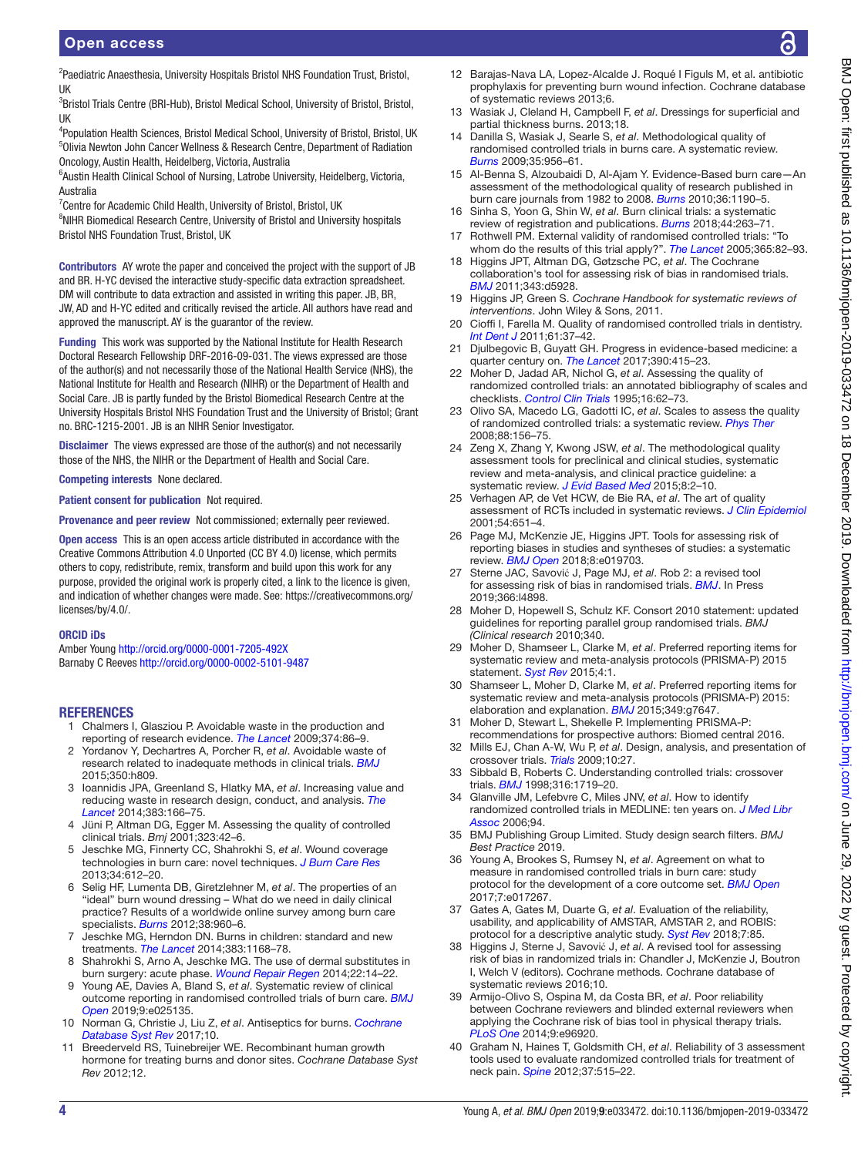<sup>2</sup>Paediatric Anaesthesia, University Hospitals Bristol NHS Foundation Trust, Bristol, UK

<sup>3</sup>Bristol Trials Centre (BRI-Hub), Bristol Medical School, University of Bristol, Bristol, UK

<sup>4</sup>Population Health Sciences, Bristol Medical School, University of Bristol, Bristol, UK 5 Olivia Newton John Cancer Wellness & Research Centre, Department of Radiation Oncology, Austin Health, Heidelberg, Victoria, Australia

<sup>6</sup>Austin Health Clinical School of Nursing, Latrobe University, Heidelberg, Victoria, Australia

<sup>7</sup> Centre for Academic Child Health, University of Bristol, Bristol, UK <sup>8</sup>NIHR Biomedical Research Centre, University of Bristol and University hospitals Bristol NHS Foundation Trust, Bristol, UK

Contributors AY wrote the paper and conceived the project with the support of JB and BR. H-YC devised the interactive study-specific data extraction spreadsheet. DM will contribute to data extraction and assisted in writing this paper. JB, BR, JW, AD and H-YC edited and critically revised the article. All authors have read and approved the manuscript. AY is the guarantor of the review.

Funding This work was supported by the National Institute for Health Research Doctoral Research Fellowship DRF-2016-09-031. The views expressed are those of the author(s) and not necessarily those of the National Health Service (NHS), the National Institute for Health and Research (NIHR) or the Department of Health and Social Care. JB is partly funded by the Bristol Biomedical Research Centre at the University Hospitals Bristol NHS Foundation Trust and the University of Bristol; Grant no. BRC-1215-2001. JB is an NIHR Senior Investigator.

**Disclaimer** The views expressed are those of the author(s) and not necessarily those of the NHS, the NIHR or the Department of Health and Social Care.

Competing interests None declared.

Patient consent for publication Not required.

Provenance and peer review Not commissioned; externally peer reviewed.

Open access This is an open access article distributed in accordance with the Creative Commons Attribution 4.0 Unported (CC BY 4.0) license, which permits others to copy, redistribute, remix, transform and build upon this work for any purpose, provided the original work is properly cited, a link to the licence is given, and indication of whether changes were made. See: [https://creativecommons.org/](https://creativecommons.org/licenses/by/4.0/) [licenses/by/4.0/.](https://creativecommons.org/licenses/by/4.0/)

#### ORCID iDs

Amber Young<http://orcid.org/0000-0001-7205-492X> Barnaby C Reeves<http://orcid.org/0000-0002-5101-9487>

# <span id="page-3-0"></span>**REFERENCES**

- 1 Chalmers I, Glasziou P. Avoidable waste in the production and reporting of research evidence. *[The Lancet](http://dx.doi.org/10.1016/S0140-6736(09)60329-9)* 2009;374:86–9.
- <span id="page-3-1"></span>2 Yordanov Y, Dechartres A, Porcher R, *et al*. Avoidable waste of research related to inadequate methods in clinical trials. *[BMJ](http://dx.doi.org/10.1136/bmj.h809)* 2015;350:h809.
- 3 Ioannidis JPA, Greenland S, Hlatky MA, *et al*. Increasing value and reducing waste in research design, conduct, and analysis. *[The](http://dx.doi.org/10.1016/S0140-6736(13)62227-8)  [Lancet](http://dx.doi.org/10.1016/S0140-6736(13)62227-8)* 2014;383:166–75.
- 4 Jüni P, Altman DG, Egger M. Assessing the quality of controlled clinical trials. *Bmj* 2001;323:42–6.
- <span id="page-3-2"></span>5 Jeschke MG, Finnerty CC, Shahrokhi S, *et al*. Wound coverage technologies in burn care: novel techniques. *[J Burn Care Res](http://dx.doi.org/10.1097/BCR.0b013e31829b0075)* 2013;34:612–20.
- 6 Selig HF, Lumenta DB, Giretzlehner M, *et al*. The properties of an "ideal" burn wound dressing – What do we need in daily clinical practice? Results of a worldwide online survey among burn care specialists. *[Burns](http://dx.doi.org/10.1016/j.burns.2012.04.007)* 2012;38:960–6.
- 7 Jeschke MG, Herndon DN. Burns in children: standard and new treatments. *[The Lancet](http://dx.doi.org/10.1016/S0140-6736(13)61093-4)* 2014;383:1168–78.
- 8 Shahrokhi S, Arno A, Jeschke MG. The use of dermal substitutes in burn surgery: acute phase. *[Wound Repair Regen](http://dx.doi.org/10.1111/wrr.12119)* 2014;22:14–22.
- 9 Young AE, Davies A, Bland S, *et al*. Systematic review of clinical outcome reporting in randomised controlled trials of burn care. *[BMJ](http://dx.doi.org/10.1136/bmjopen-2018-025135)  [Open](http://dx.doi.org/10.1136/bmjopen-2018-025135)* 2019;9:e025135.
- <span id="page-3-3"></span>10 Norman G, Christie J, Liu Z, *et al*. Antiseptics for burns. *[Cochrane](http://dx.doi.org/10.1002/14651858.CD011821.pub2)  [Database Syst Rev](http://dx.doi.org/10.1002/14651858.CD011821.pub2)* 2017;10.
- 11 Breederveld RS, Tuinebreijer WE. Recombinant human growth hormone for treating burns and donor sites. *Cochrane Database Syst Rev* 2012;12.
- 12 Barajas-Nava LA, Lopez-Alcalde J. Roqué I Figuls M, et al. antibiotic prophylaxis for preventing burn wound infection. Cochrane database of systematic reviews 2013;6.
- 13 Wasiak J, Cleland H, Campbell F, *et al*. Dressings for superficial and partial thickness burns. 2013;18.
- <span id="page-3-4"></span>14 Danilla S, Wasiak J, Searle S, *et al*. Methodological quality of randomised controlled trials in burns care. A systematic review. *[Burns](http://dx.doi.org/10.1016/j.burns.2009.04.031)* 2009;35:956–61.
- 15 Al-Benna S, Alzoubaidi D, Al-Ajam Y. Evidence-Based burn care—An assessment of the methodological quality of research published in burn care journals from 1982 to 2008. *[Burns](http://dx.doi.org/10.1016/j.burns.2010.03.011)* 2010;36:1190–5.
- 16 Sinha S, Yoon G, Shin W, *et al*. Burn clinical trials: a systematic review of registration and publications. *[Burns](http://dx.doi.org/10.1016/j.burns.2017.11.001)* 2018;44:263–71.
- <span id="page-3-5"></span>17 Rothwell PM. External validity of randomised controlled trials: "To whom do the results of this trial apply?". *[The Lancet](http://dx.doi.org/10.1016/S0140-6736(04)17670-8)* 2005;365:82–93.
- <span id="page-3-6"></span>18 Higgins JPT, Altman DG, Gøtzsche PC, *et al*. The Cochrane collaboration's tool for assessing risk of bias in randomised trials. *[BMJ](http://dx.doi.org/10.1136/bmj.d5928)* 2011;343:d5928.
- <span id="page-3-7"></span>19 Higgins JP, Green S. *Cochrane Handbook for systematic reviews of interventions*. John Wiley & Sons, 2011.
- 20 Cioffi I, Farella M. Quality of randomised controlled trials in dentistry. *[Int Dent J](http://dx.doi.org/10.1111/j.1875-595X.2011.00007.x)* 2011;61:37–42.
- 21 Djulbegovic B, Guyatt GH. Progress in evidence-based medicine: a quarter century on. *[The Lancet](http://dx.doi.org/10.1016/S0140-6736(16)31592-6)* 2017;390:415–23.
- <span id="page-3-8"></span>22 Moher D, Jadad AR, Nichol G, *et al*. Assessing the quality of randomized controlled trials: an annotated bibliography of scales and checklists. *[Control Clin Trials](http://dx.doi.org/10.1016/0197-2456(94)00031-W)* 1995;16:62–73.
- 23 Olivo SA, Macedo LG, Gadotti IC, *et al*. Scales to assess the quality of randomized controlled trials: a systematic review. *[Phys Ther](http://dx.doi.org/10.2522/ptj.20070147)* 2008;88:156–75.
- <span id="page-3-9"></span>24 Zeng X, Zhang Y, Kwong JSW, *et al*. The methodological quality assessment tools for preclinical and clinical studies, systematic review and meta-analysis, and clinical practice guideline: a systematic review. *[J Evid Based Med](http://dx.doi.org/10.1111/jebm.12141)* 2015;8:2–10.
- 25 Verhagen AP, de Vet HCW, de Bie RA, *et al*. The art of quality assessment of RCTs included in systematic reviews. *[J Clin Epidemiol](http://dx.doi.org/10.1016/S0895-4356(00)00360-7)* 2001;54:651–4.
- <span id="page-3-19"></span>26 Page MJ, McKenzie JE, Higgins JPT. Tools for assessing risk of reporting biases in studies and syntheses of studies: a systematic review. *[BMJ Open](http://dx.doi.org/10.1136/bmjopen-2017-019703)* 2018;8:e019703.
- <span id="page-3-10"></span>27 Sterne JAC, Savović J, Page MJ, *et al*. Rob 2: a revised tool for assessing risk of bias in randomised trials. *[BMJ](http://dx.doi.org/10.1136/bmj.l4898)*. In Press 2019;366:l4898.
- <span id="page-3-11"></span>28 Moher D, Hopewell S, Schulz KF. Consort 2010 statement: updated guidelines for reporting parallel group randomised trials. *BMJ (Clinical research* 2010;340.
- <span id="page-3-12"></span>29 Moher D, Shamseer L, Clarke M, *et al*. Preferred reporting items for systematic review and meta-analysis protocols (PRISMA-P) 2015 statement. *[Syst Rev](http://dx.doi.org/10.1186/2046-4053-4-1)* 2015;4:1.
- 30 Shamseer L, Moher D, Clarke M, *et al*. Preferred reporting items for systematic review and meta-analysis protocols (PRISMA-P) 2015: elaboration and explanation. **[BMJ](http://dx.doi.org/10.1136/bmj.g7647)** 2015;349:a7647.
- 31 Moher D, Stewart L, Shekelle P. Implementing PRISMA-P:
- <span id="page-3-13"></span>recommendations for prospective authors: Biomed central 2016. 32 Mills EJ, Chan A-W, Wu P, *et al*. Design, analysis, and presentation of crossover trials. *[Trials](http://dx.doi.org/10.1186/1745-6215-10-27)* 2009;10:27.
- 33 Sibbald B, Roberts C. Understanding controlled trials: crossover trials. *[BMJ](http://dx.doi.org/10.1136/bmj.316.7146.1719)* 1998;316:1719–20.
- <span id="page-3-14"></span>34 Glanville JM, Lefebvre C, Miles JNV, *et al*. How to identify randomized controlled trials in MEDLINE: ten years on. *[J Med Libr](http://www.ncbi.nlm.nih.gov/pubmed/16636704)  [Assoc](http://www.ncbi.nlm.nih.gov/pubmed/16636704)* 2006;94.
- 35 BMJ Publishing Group Limited. Study design search filters. *BMJ Best Practice* 2019.
- <span id="page-3-15"></span>36 Young A, Brookes S, Rumsey N, *et al*. Agreement on what to measure in randomised controlled trials in burn care: study protocol for the development of a core outcome set. *[BMJ Open](http://dx.doi.org/10.1136/bmjopen-2017-017267)* 2017;7:e017267.
- <span id="page-3-16"></span>37 Gates A, Gates M, Duarte G, *et al*. Evaluation of the reliability, usability, and applicability of AMSTAR, AMSTAR 2, and ROBIS: protocol for a descriptive analytic study. *[Syst Rev](http://dx.doi.org/10.1186/s13643-018-0746-1)* 2018;7:85.
- <span id="page-3-17"></span>38 Higgins J, Sterne J, Savović J, *et al*. A revised tool for assessing risk of bias in randomized trials in: Chandler J, McKenzie J, Boutron I, Welch V (editors). Cochrane methods. Cochrane database of systematic reviews 2016;10.
- <span id="page-3-18"></span>39 Armijo-Olivo S, Ospina M, da Costa BR, *et al*. Poor reliability between Cochrane reviewers and blinded external reviewers when applying the Cochrane risk of bias tool in physical therapy trials. *[PLoS One](http://dx.doi.org/10.1371/journal.pone.0096920)* 2014;9:e96920.
- 40 Graham N, Haines T, Goldsmith CH, *et al*. Reliability of 3 assessment tools used to evaluate randomized controlled trials for treatment of neck pain. *[Spine](http://dx.doi.org/10.1097/BRS.0b013e31822671eb)* 2012;37:515–22.